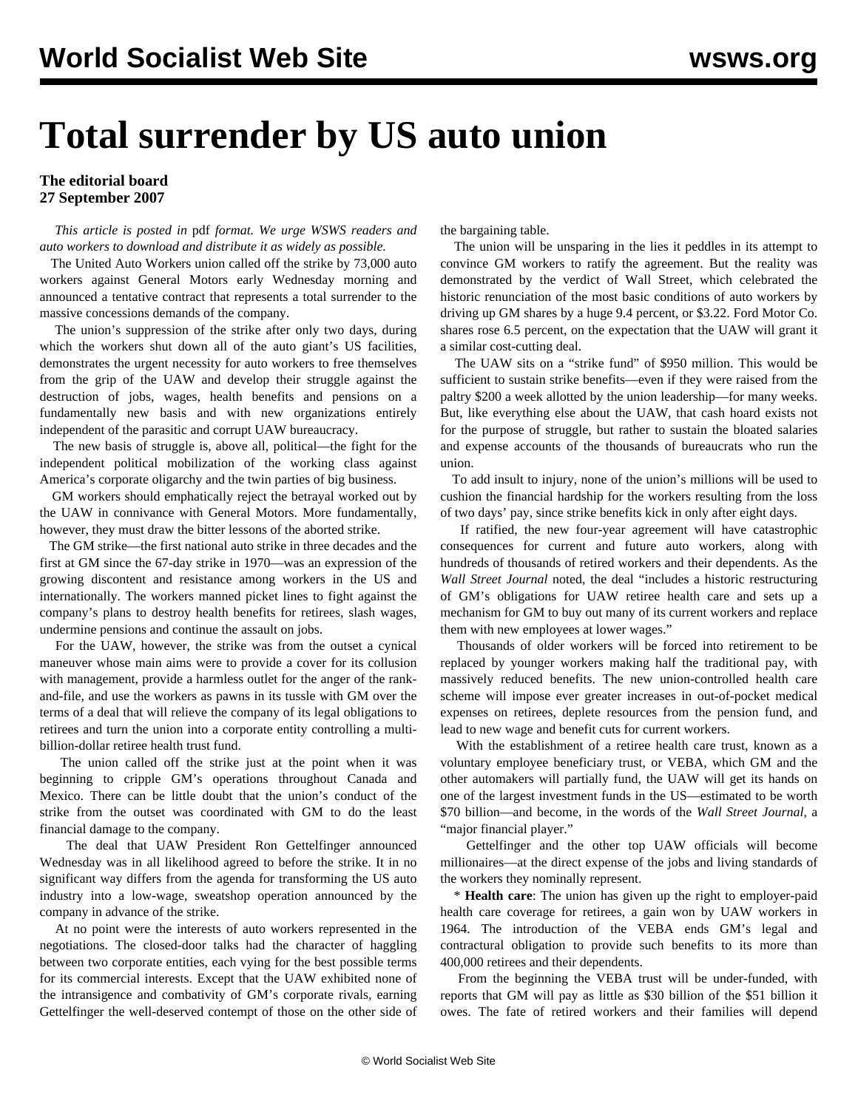## **Total surrender by US auto union**

## **The editorial board 27 September 2007**

 *This article is posted in* pdf *format. We urge WSWS readers and auto workers to download and distribute it as widely as possible.*

 The United Auto Workers union called off the strike by 73,000 auto workers against General Motors early Wednesday morning and announced a tentative contract that represents a total surrender to the massive concessions demands of the company.

 The union's suppression of the strike after only two days, during which the workers shut down all of the auto giant's US facilities, demonstrates the urgent necessity for auto workers to free themselves from the grip of the UAW and develop their struggle against the destruction of jobs, wages, health benefits and pensions on a fundamentally new basis and with new organizations entirely independent of the parasitic and corrupt UAW bureaucracy.

 The new basis of struggle is, above all, political—the fight for the independent political mobilization of the working class against America's corporate oligarchy and the twin parties of big business.

 GM workers should emphatically reject the betrayal worked out by the UAW in connivance with General Motors. More fundamentally, however, they must draw the bitter lessons of the aborted strike.

 The GM strike—the first national auto strike in three decades and the first at GM since the 67-day strike in 1970—was an expression of the growing discontent and resistance among workers in the US and internationally. The workers manned picket lines to fight against the company's plans to destroy health benefits for retirees, slash wages, undermine pensions and continue the assault on jobs.

 For the UAW, however, the strike was from the outset a cynical maneuver whose main aims were to provide a cover for its collusion with management, provide a harmless outlet for the anger of the rankand-file, and use the workers as pawns in its tussle with GM over the terms of a deal that will relieve the company of its legal obligations to retirees and turn the union into a corporate entity controlling a multibillion-dollar retiree health trust fund.

 The union called off the strike just at the point when it was beginning to cripple GM's operations throughout Canada and Mexico. There can be little doubt that the union's conduct of the strike from the outset was coordinated with GM to do the least financial damage to the company.

 The deal that UAW President Ron Gettelfinger announced Wednesday was in all likelihood agreed to before the strike. It in no significant way differs from the agenda for transforming the US auto industry into a low-wage, sweatshop operation announced by the company in advance of the strike.

 At no point were the interests of auto workers represented in the negotiations. The closed-door talks had the character of haggling between two corporate entities, each vying for the best possible terms for its commercial interests. Except that the UAW exhibited none of the intransigence and combativity of GM's corporate rivals, earning Gettelfinger the well-deserved contempt of those on the other side of the bargaining table.

 The union will be unsparing in the lies it peddles in its attempt to convince GM workers to ratify the agreement. But the reality was demonstrated by the verdict of Wall Street, which celebrated the historic renunciation of the most basic conditions of auto workers by driving up GM shares by a huge 9.4 percent, or \$3.22. Ford Motor Co. shares rose 6.5 percent, on the expectation that the UAW will grant it a similar cost-cutting deal.

 The UAW sits on a "strike fund" of \$950 million. This would be sufficient to sustain strike benefits—even if they were raised from the paltry \$200 a week allotted by the union leadership—for many weeks. But, like everything else about the UAW, that cash hoard exists not for the purpose of struggle, but rather to sustain the bloated salaries and expense accounts of the thousands of bureaucrats who run the union.

 To add insult to injury, none of the union's millions will be used to cushion the financial hardship for the workers resulting from the loss of two days' pay, since strike benefits kick in only after eight days.

 If ratified, the new four-year agreement will have catastrophic consequences for current and future auto workers, along with hundreds of thousands of retired workers and their dependents. As the *Wall Street Journal* noted, the deal "includes a historic restructuring of GM's obligations for UAW retiree health care and sets up a mechanism for GM to buy out many of its current workers and replace them with new employees at lower wages."

 Thousands of older workers will be forced into retirement to be replaced by younger workers making half the traditional pay, with massively reduced benefits. The new union-controlled health care scheme will impose ever greater increases in out-of-pocket medical expenses on retirees, deplete resources from the pension fund, and lead to new wage and benefit cuts for current workers.

 With the establishment of a retiree health care trust, known as a voluntary employee beneficiary trust, or VEBA, which GM and the other automakers will partially fund, the UAW will get its hands on one of the largest investment funds in the US—estimated to be worth \$70 billion—and become, in the words of the *Wall Street Journal*, a "major financial player."

 Gettelfinger and the other top UAW officials will become millionaires—at the direct expense of the jobs and living standards of the workers they nominally represent.

 \* **Health care**: The union has given up the right to employer-paid health care coverage for retirees, a gain won by UAW workers in 1964. The introduction of the VEBA ends GM's legal and contractural obligation to provide such benefits to its more than 400,000 retirees and their dependents.

 From the beginning the VEBA trust will be under-funded, with reports that GM will pay as little as \$30 billion of the \$51 billion it owes. The fate of retired workers and their families will depend